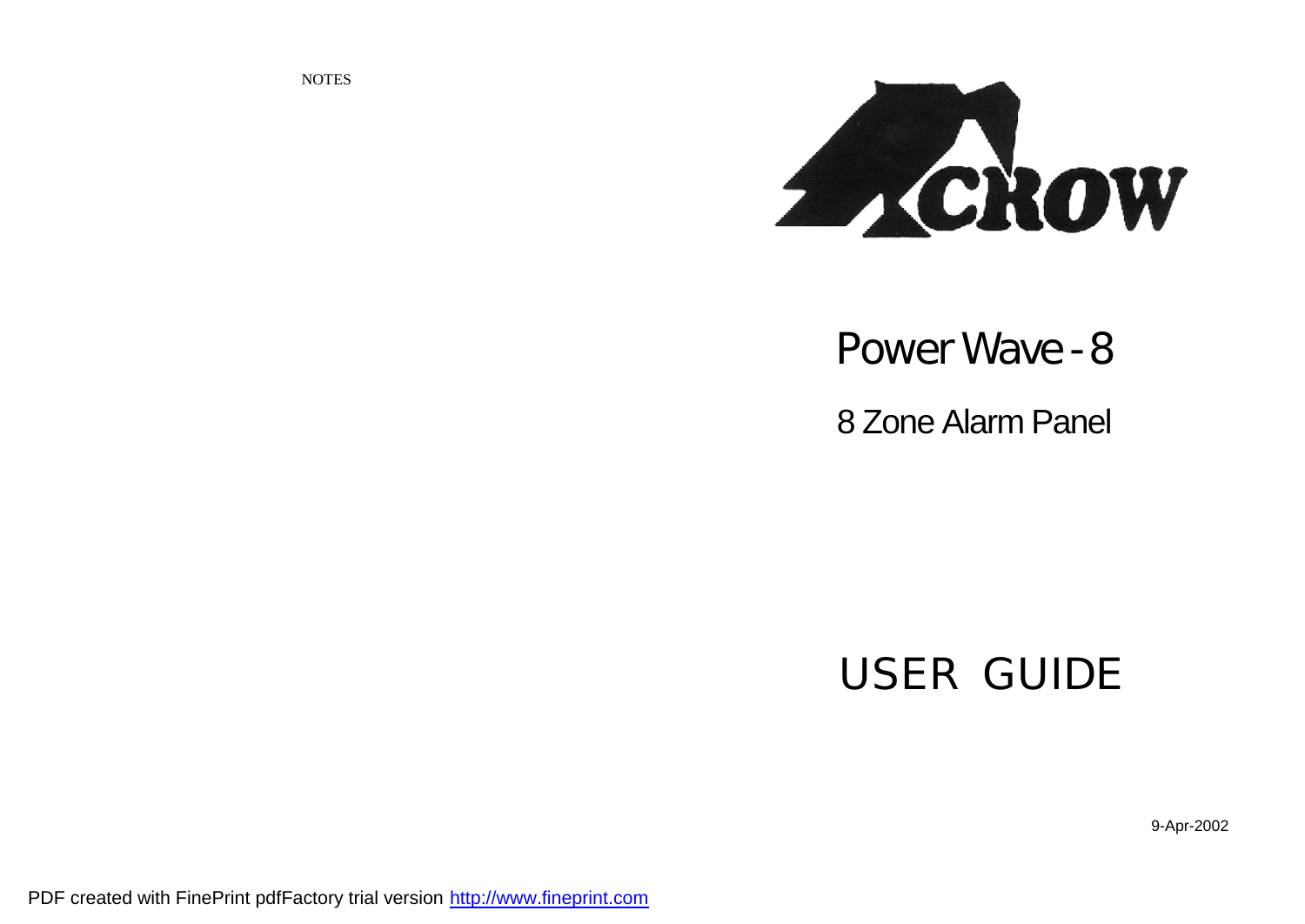**NOTES** 



## **Power Wave - 8**

8 Zone Alarm Panel

# **USER GUIDE**

9-Apr-2002

PDF created with FinePrint pdfFactory trial version <http://www.fineprint.com>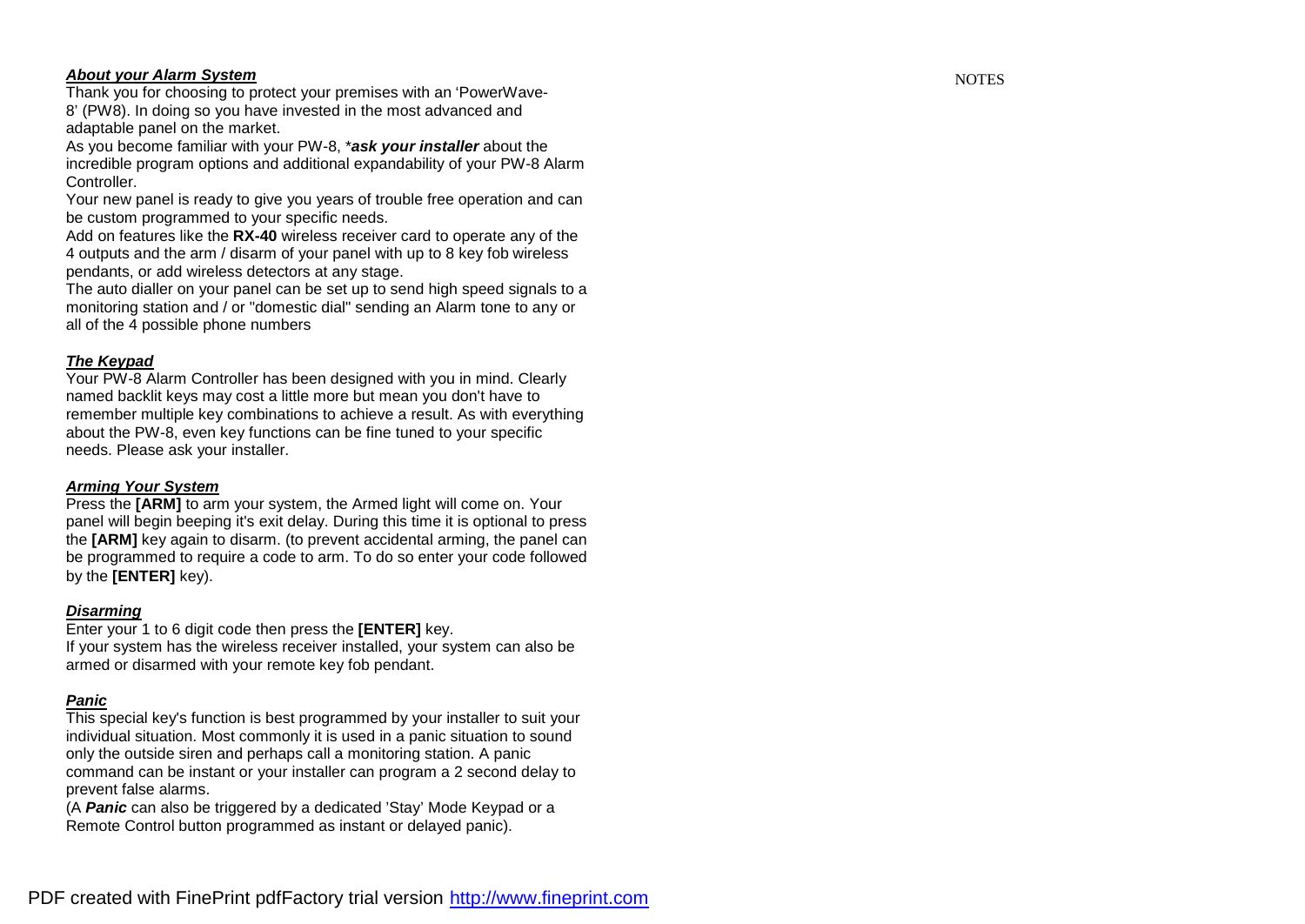### *About your Alarm System*

Thank you for choosing to protect your premises with an 'PowerWave-8' ( P W8). In doing so y ou have invested in the most advanc ed and adaptable panel on the market.

As you become familiar with your PW-8, \*ask your installer about the incredible program options and additional expandability of your PW-8 Alarm Controller.

Your new panel is ready to give you years of trouble free operation and can be custo m progra m med to y our s peci fic ne eds.

Add on features like the RX-40 wireless receiver card to operate any of the 4 outputs and the arm / disarm of your panel with up to 8 key fob wireless pendants, or add wireless detectors at any stage.

The auto dialler on your panel can be set up to send high speed signals to a monitoring station and / or "domestic dial" sending an Alarm tone to any or all o f the 4 possibl e ph one nu mbers

### *The Keypad*

Your PW-8 Alarm Controller has been designed with you in mind. Clearly named backlit keys may cost a little more but mean you don't have to remember multiple key combinations to achieve a result. As with everything about the PW-8, even key functions can be fine tuned to your specific needs. Please ask your ins taller.

### *Arming Yo ur System*

Press the [ARM] to arm your system, the Armed light will come on. Your panel will begin beeping it's exit delay. During this time it is optional to press the [ARM] key again to disarm. (to prevent accidental arming, the panel can be programmed to require a code to arm. To do so enter your code followed b y the **[EN TER ]** ke y).

### *Disarming*

Enter your 1 to 6 digit code then press the [ENTER] Enter your 1 to 6 digit code then press the **[ENTER]** key.<br>If your system has the wireless receiver installed, your system can also be

armed or disarmed with your remote key fob pendant.

### *Panic*

This special key's function is best programmed by your installer to suit your individual situation. Most commonly it is used in a panic situation to sound only the outside siren and perhaps call a monitoring station. A panic command can be instant or your installer can program a 2 second delay to prev ent fals e alar ms.

(A **Panic** can also be triggered by a dedicated 'Stay' Mode Keypad or a Remote Control button programmed as instant or delayed panic).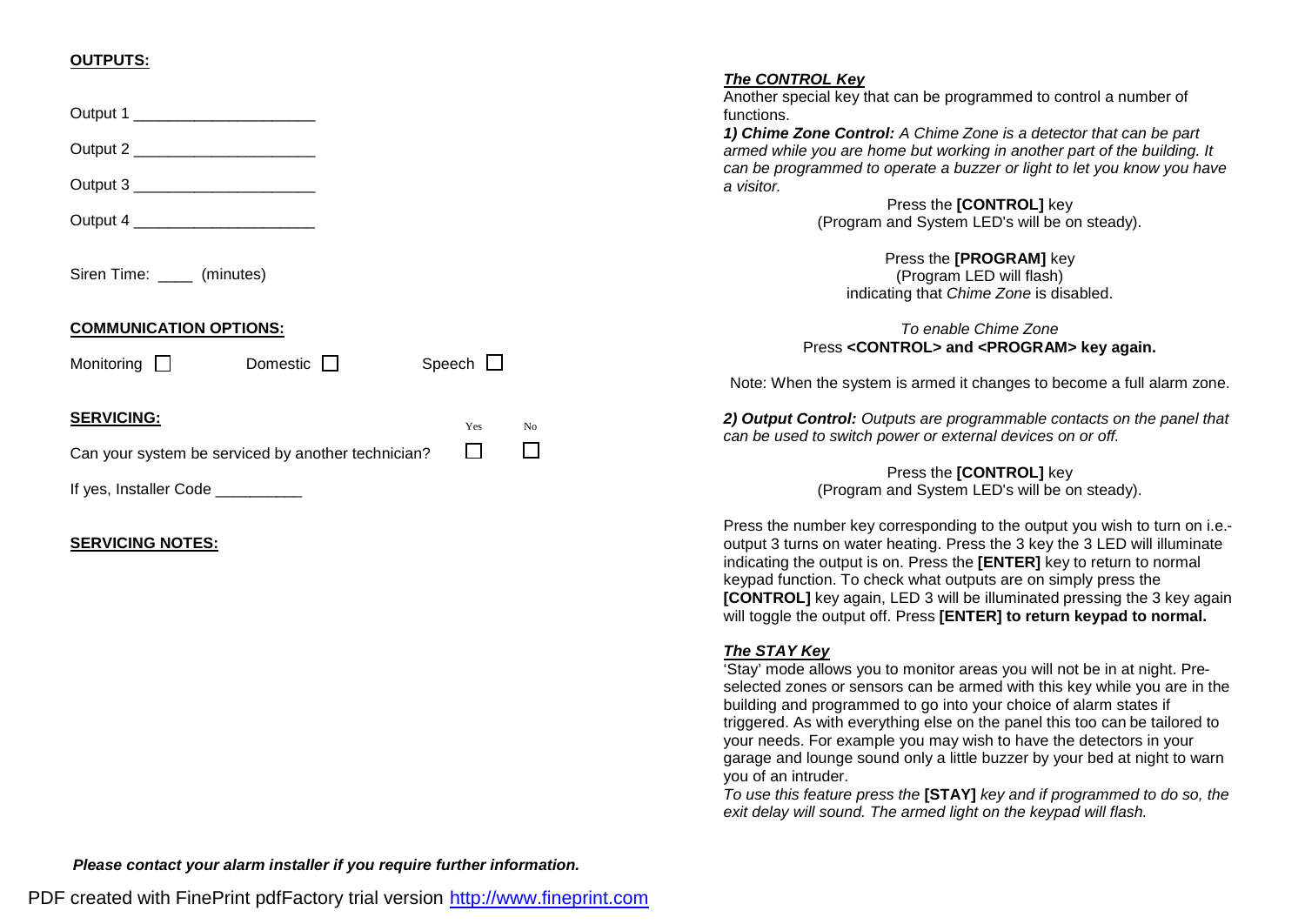### **OUTPUTS:**

|                                                              | The CONTROL Key                                                                                                                           |
|--------------------------------------------------------------|-------------------------------------------------------------------------------------------------------------------------------------------|
| Output 1                                                     | Another special key that can be programmed to control a number of<br>functions.                                                           |
|                                                              | 1) Chime Zone Control: A Chime Zone is a detector that can be part                                                                        |
| Output 2 ______________________                              | armed while you are home but working in another part of the building. It                                                                  |
| Output 3 ________________________                            | can be programmed to operate a buzzer or light to let you know you have<br>a visitor.                                                     |
|                                                              | Press the [CONTROL] key                                                                                                                   |
| Output 4                                                     | (Program and System LED's will be on steady).                                                                                             |
|                                                              | Press the [PROGRAM] key                                                                                                                   |
| Siren Time: ______ (minutes)                                 | (Program LED will flash)                                                                                                                  |
|                                                              | indicating that Chime Zone is disabled.                                                                                                   |
| <b>COMMUNICATION OPTIONS:</b>                                | To enable Chime Zone                                                                                                                      |
|                                                              | Press <control> and <program> key again.</program></control>                                                                              |
| Speech $\Box$<br>Domestic $\square$<br>Monitoring $\Box$     |                                                                                                                                           |
|                                                              | Note: When the system is armed it changes to become a full alarm zone.                                                                    |
| <b>SERVICING:</b><br>Yes<br>No                               | 2) Output Control: Outputs are programmable contacts on the panel that                                                                    |
| $\Box$                                                       | can be used to switch power or external devices on or off.                                                                                |
| $\Box$<br>Can your system be serviced by another technician? |                                                                                                                                           |
| If yes, Installer Code __________                            | Press the [CONTROL] key<br>(Program and System LED's will be on steady).                                                                  |
|                                                              |                                                                                                                                           |
|                                                              | Press the number key corresponding to the output you wish to turn on i.e.-                                                                |
| <b>SERVICING NOTES:</b>                                      | output 3 turns on water heating. Press the 3 key the 3 LED will illuminate                                                                |
|                                                              | indicating the output is on. Press the [ENTER] key to return to normal                                                                    |
|                                                              | keypad function. To check what outputs are on simply press the<br>[CONTROL] key again, LED 3 will be illuminated pressing the 3 key again |
|                                                              | will toggle the output off. Press [ENTER] to return keypad to normal.                                                                     |
|                                                              |                                                                                                                                           |
|                                                              | The STAY Key<br>'Stay' mode allows you to monitor areas you will not be in at night. Pre-                                                 |
|                                                              | selected zones or sensors can be armed with this key while you are in the                                                                 |
|                                                              | building and programmed to go into your choice of alarm states if                                                                         |
|                                                              | triggered. As with everything else on the panel this too can be tailored to                                                               |
|                                                              | your needs. For example you may wish to have the detectors in your                                                                        |
|                                                              | garage and lounge sound only a little buzzer by your bed at night to warn                                                                 |
|                                                              | you of an intruder.                                                                                                                       |
|                                                              | in the communication of the communication of the communication of the communication of the communication of the                           |

*To use this feature press the* **[STAY]** *key and if programmed to do so, the exit delay will sound. The armed light on the keypad will flash.* 

*Please contact your alarm installer if you require further information.*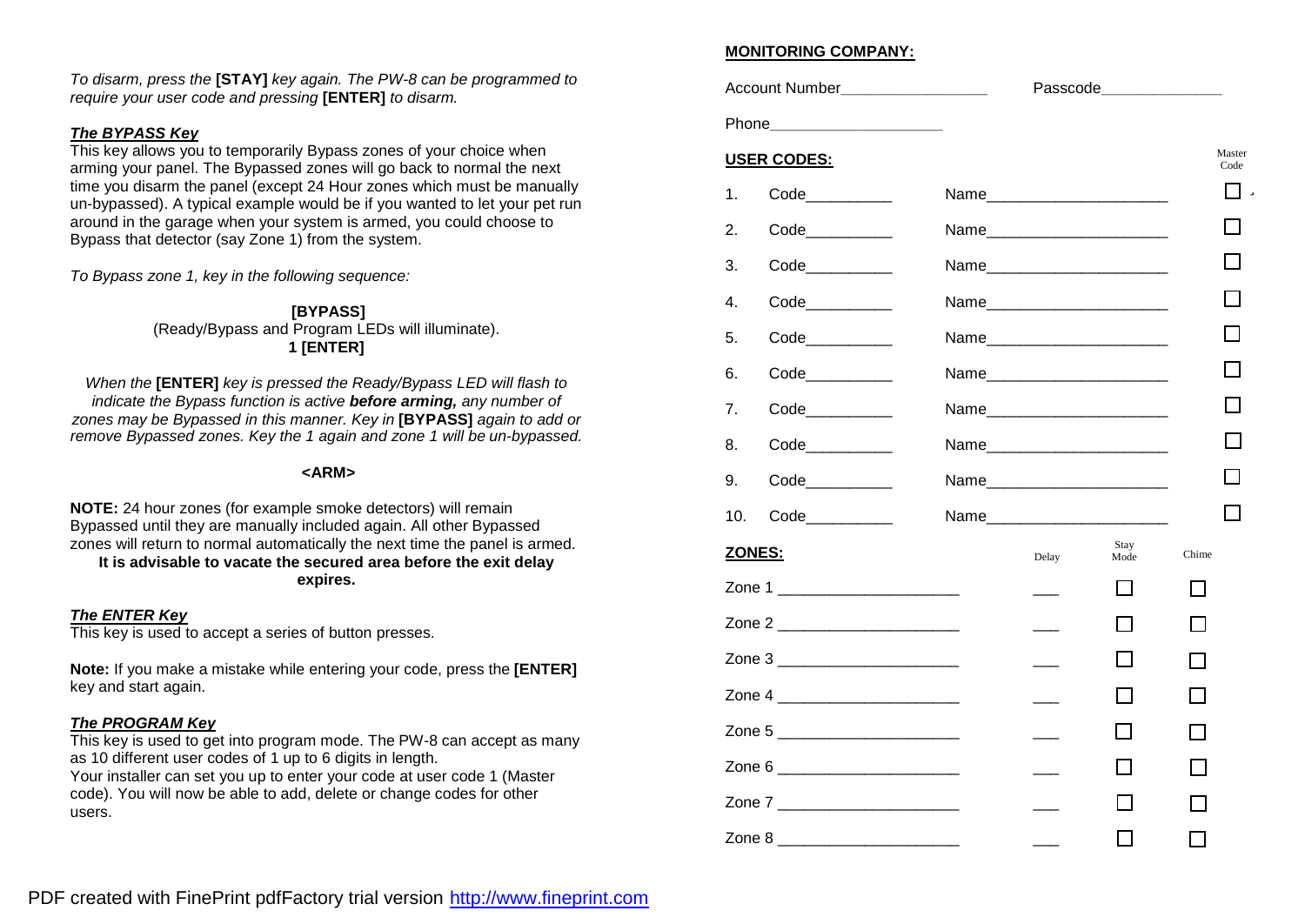*To disarm, press the* **[STAY]** *key again. The PW-8 can be programmed to require your user code and pressing* **[ENTER]** *to disarm.*

### *The BYPASS Key*

This key allows you to temporarily Bypass zones of your choice when arming your panel. The Bypassed zones will go back to normal the next time you disarm the panel (except 24 Hour zones which must be manually un-bypassed). A typical example would be if you wanted to let your pet run around in the garage when your system is armed, you could choose to Bypass that detector (say Zone 1) from the system.

*To Bypass zone 1, key in the following sequence:*

**[BYPASS]** (Ready/Bypass and Program LEDs will illuminate). **1 [ENTER]**

*When the* **[ENTER]** *key is pressed the Ready/Bypass LED will flash to indicate the Bypass function is active before arming, any number of zones may be Bypassed in this manner. Key in* **[BYPASS]** *again to add or remove Bypassed zones. Key the 1 again and zone 1 will be un-bypassed.*

### **<ARM>**

**NOTE:** 24 hour zones (for example smoke detectors) will remain Bypassed until they are manually included again. All other Bypassed zones will return to normal automatically the next time the panel is armed.

**It is advisable to vacate the secured area before the exit delay expires.**

### *The ENTER Key*

This key is used to accept a series of button presses.

**Note:** If you make a mistake while entering your code, press the **[ENTER]** key and start again.

### *The PROGRAM Key*

This key is used to get into program mode. The PW-8 can accept as many as 10 different user codes of 1 up to 6 digits in length.

Your installer can set you up to enter your code at user code 1 (Master code). You will now be able to add, delete or change codes for other users.

### **MONITORING COMPANY:**

| Account Number___________________ | Passcode________________ |              |       |                |
|-----------------------------------|--------------------------|--------------|-------|----------------|
|                                   |                          |              |       |                |
| <b>USER CODES:</b>                |                          |              |       | Master<br>Code |
| $\mathbf{1}$ .                    |                          |              |       | ü              |
| 2.                                |                          |              |       |                |
| 3.                                |                          |              |       |                |
| 4.                                | Name                     |              |       |                |
| 5.<br>Code___________             |                          |              |       |                |
| 6.                                |                          |              |       |                |
| $\overline{7}$ .                  |                          |              |       |                |
| 8.                                |                          |              |       |                |
| 9.                                |                          |              |       |                |
| 10.                               |                          |              |       |                |
| ZONES:                            | Delay                    | Stay<br>Mode | Chime |                |
| Zone 1 _______________________    |                          |              |       |                |
| Zone 2 _______________________    |                          |              |       |                |
| Zone 3 __________________________ |                          |              |       |                |
| Zone 4 _________________________  |                          |              |       |                |
| Zone 5                            |                          |              |       |                |
| Zone 6 ________________________   |                          |              |       |                |
| Zone 7 _______________________    |                          |              |       |                |
| Zone 8                            |                          |              |       |                |

PDF created with FinePrint pdfFactory trial version <http://www.fineprint.com>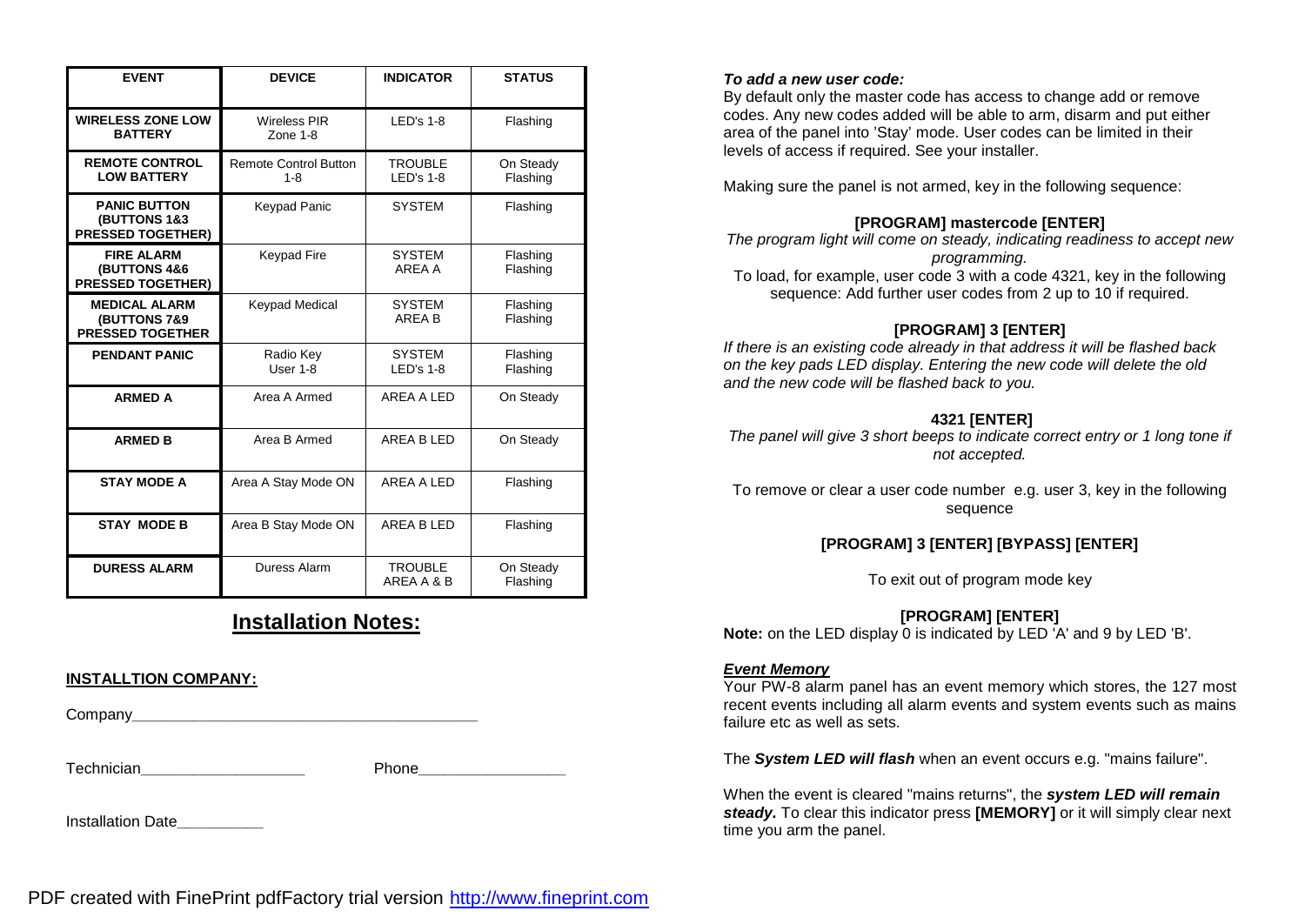| <b>EVENT</b>                                                    | <b>DEVICE</b>                           | <b>INDICATOR</b>              | <b>STATUS</b>         |
|-----------------------------------------------------------------|-----------------------------------------|-------------------------------|-----------------------|
| <b>WIRELESS ZONE LOW</b><br><b>BATTERY</b>                      | <b>Wireless PIR</b><br>Zone $1-8$       | $LED's 1-8$                   | Flashing              |
| <b>REMOTE CONTROL</b><br><b>LOW BATTERY</b>                     | <b>Remote Control Button</b><br>$1 - 8$ | <b>TROUBLE</b><br>$LED's 1-8$ | On Steady<br>Flashing |
| <b>PANIC BUTTON</b><br>(BUTTONS 1&3<br><b>PRESSED TOGETHER)</b> | Keypad Panic                            | <b>SYSTEM</b>                 | Flashing              |
| <b>FIRE ALARM</b><br>(BUTTONS 4&6<br><b>PRESSED TOGETHER)</b>   | <b>Keypad Fire</b>                      | <b>SYSTEM</b><br>ARFA A       | Flashing<br>Flashing  |
| <b>MEDICAL ALARM</b><br>(BUTTONS 7&9<br><b>PRESSED TOGETHER</b> | Keypad Medical                          | <b>SYSTEM</b><br>AREA B       | Flashing<br>Flashing  |
| <b>PENDANT PANIC</b>                                            | Radio Key<br>User 1-8                   | <b>SYSTEM</b><br>$LED's 1-8$  | Flashing<br>Flashing  |
| <b>ARMED A</b>                                                  | Area A Armed                            | AREA A LED                    | On Steady             |
| <b>ARMED B</b>                                                  | Area B Armed                            | AREA B LED                    | On Steady             |
| <b>STAY MODE A</b>                                              | Area A Stay Mode ON                     | AREA A LED                    | Flashing              |
| <b>STAY MODE B</b>                                              | Area B Stay Mode ON                     | AREA B LED                    | Flashing              |
| <b>DURESS ALARM</b>                                             | Duress Alarm                            | <b>TROUBLE</b><br>AREA A & B  | On Steady<br>Flashing |

### **Installation Notes:**

### **INSTALLTION COMPANY:**

Company**\_\_\_\_\_\_\_\_\_\_\_\_\_\_\_\_\_\_\_\_\_\_\_\_\_\_\_\_\_\_\_\_\_\_\_\_\_\_\_\_**

Technician**\_\_\_\_\_\_\_\_\_\_\_\_\_\_\_\_\_\_\_** Phone**\_\_\_\_\_\_\_\_\_\_\_\_\_\_\_\_\_**

Installation Date**\_\_\_\_\_\_\_\_\_\_**

### *To add a new user code:*

By default only the master code has access to change add or remove codes. Any new codes added will be able to arm, disarm and put either area of the panel into 'Stay' mode. User codes can be limited in their levels of access if required. See your installer.

Making sure the panel is not armed, key in the following sequence:

### **[PROGRAM] mastercode [ENTER]**

*The program light will come on steady, indicating readiness to accept new programming.* 

To load, for example, user code 3 with a code 4321, key in the following sequence: Add further user codes from 2 up to 10 if required.

### **[PROGRAM] 3 [ENTER]**

*If there is an existing code already in that address it will be flashed back on the key pads LED display. Entering the new code will delete the old and the new code will be flashed back to you.*

### **4321 [ENTER]**

*The panel will give 3 short beeps to indicate correct entry or 1 long tone if not accepted.* 

To remove or clear a user code number e.g. user 3, key in the following sequence

### **[PROGRAM] 3 [ENTER] [BYPASS] [ENTER]**

To exit out of program mode key

### **[PROGRAM] [ENTER]**

**Note:** on the LED display 0 is indicated by LED 'A' and 9 by LED 'B'.

### *Event Memory*

Your PW-8 alarm panel has an event memory which stores, the 127 most recent events including all alarm events and system events such as mains failure etc as well as sets.

The *System LED will flash* when an event occurs e.g. "mains failure".

When the event is cleared "mains returns", the *system LED will remain steady.* To clear this indicator press **[MEMORY]** or it will simply clear next time you arm the panel.

PDF created with FinePrint pdfFactory trial version <http://www.fineprint.com>